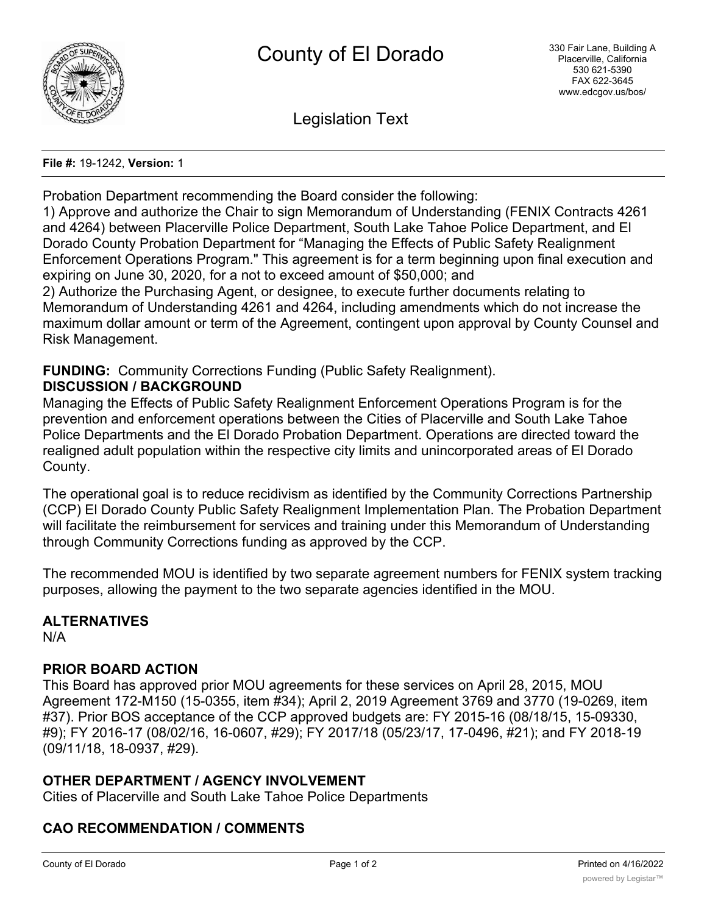

Legislation Text

### **File #:** 19-1242, **Version:** 1

Probation Department recommending the Board consider the following:

1) Approve and authorize the Chair to sign Memorandum of Understanding (FENIX Contracts 4261 and 4264) between Placerville Police Department, South Lake Tahoe Police Department, and El Dorado County Probation Department for "Managing the Effects of Public Safety Realignment Enforcement Operations Program." This agreement is for a term beginning upon final execution and expiring on June 30, 2020, for a not to exceed amount of \$50,000; and

2) Authorize the Purchasing Agent, or designee, to execute further documents relating to Memorandum of Understanding 4261 and 4264, including amendments which do not increase the maximum dollar amount or term of the Agreement, contingent upon approval by County Counsel and Risk Management.

### **FUNDING:** Community Corrections Funding (Public Safety Realignment). **DISCUSSION / BACKGROUND**

Managing the Effects of Public Safety Realignment Enforcement Operations Program is for the prevention and enforcement operations between the Cities of Placerville and South Lake Tahoe Police Departments and the El Dorado Probation Department. Operations are directed toward the realigned adult population within the respective city limits and unincorporated areas of El Dorado County.

The operational goal is to reduce recidivism as identified by the Community Corrections Partnership (CCP) El Dorado County Public Safety Realignment Implementation Plan. The Probation Department will facilitate the reimbursement for services and training under this Memorandum of Understanding through Community Corrections funding as approved by the CCP.

The recommended MOU is identified by two separate agreement numbers for FENIX system tracking purposes, allowing the payment to the two separate agencies identified in the MOU.

# **ALTERNATIVES**

N/A

# **PRIOR BOARD ACTION**

This Board has approved prior MOU agreements for these services on April 28, 2015, MOU Agreement 172-M150 (15-0355, item #34); April 2, 2019 Agreement 3769 and 3770 (19-0269, item #37). Prior BOS acceptance of the CCP approved budgets are: FY 2015-16 (08/18/15, 15-09330, #9); FY 2016-17 (08/02/16, 16-0607, #29); FY 2017/18 (05/23/17, 17-0496, #21); and FY 2018-19 (09/11/18, 18-0937, #29).

# **OTHER DEPARTMENT / AGENCY INVOLVEMENT**

Cities of Placerville and South Lake Tahoe Police Departments

# **CAO RECOMMENDATION / COMMENTS**